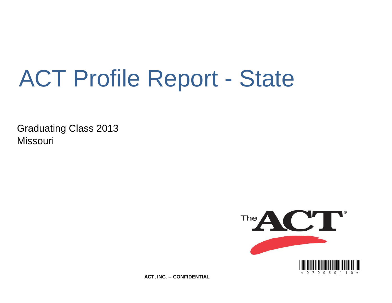# ACT Profile Report - State

Graduating Class 2013 **Missouri** 



**ACT, INC. -- CONFIDENTIAL**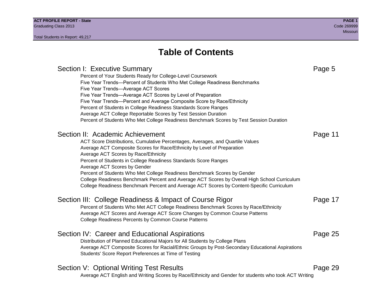# **Table of Contents**

# Section I: Executive Summary **Page 5** and the section I: Executive Summary Percent of Your Students Ready for College-Level Coursework Five Year Trends—Percent of Students Who Met College Readiness Benchmarks Five Year Trends—Average ACT Scores Five Year Trends—Average ACT Scores by Level of Preparation Five Year Trends—Percent and Average Composite Score by Race/Ethnicity Percent of Students in College Readiness Standards Score Ranges Average ACT College Reportable Scores by Test Session Duration Percent of Students Who Met College Readiness Benchmark Scores by Test Session Duration Section II: Academic Achievement **Page 11** Page 11 ACT Score Distributions, Cumulative Percentages, Averages, and Quartile Values Average ACT Composite Scores for Race/Ethnicity by Level of Preparation Average ACT Scores by Race/Ethnicity Percent of Students in College Readiness Standards Score Ranges Average ACT Scores by Gender Percent of Students Who Met College Readiness Benchmark Scores by Gender College Readiness Benchmark Percent and Average ACT Scores by Overall High School Curriculum College Readiness Benchmark Percent and Average ACT Scores by Content-Specific Curriculum Section III: College Readiness & Impact of Course Rigor Page 17 Percent of Students Who Met ACT College Readiness Benchmark Scores by Race/Ethnicity Average ACT Scores and Average ACT Score Changes by Common Course Patterns College Readiness Percents by Common Course Patterns Section IV: Career and Educational Aspirations **Page 25** Page 25 Distribution of Planned Educational Majors for All Students by College Plans Average ACT Composite Scores for Racial/Ethnic Groups by Post-Secondary Educational Aspirations Students' Score Report Preferences at Time of Testing Section V: Optional Writing Test Results **Page 29** Page 29 Average ACT English and Writing Scores by Race/Ethnicity and Gender for students who took ACT Writing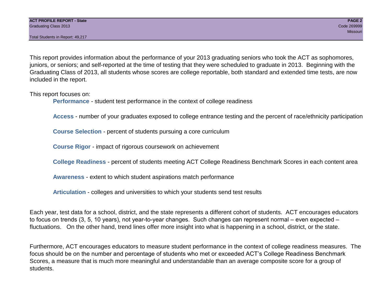This report provides information about the performance of your 2013 graduating seniors who took the ACT as sophomores, juniors, or seniors; and self-reported at the time of testing that they were scheduled to graduate in 2013. Beginning with the Graduating Class of 2013, all students whose scores are college reportable, both standard and extended time tests, are now included in the report.

This report focuses on:

**Performance** - student test performance in the context of college readiness

**Access** - number of your graduates exposed to college entrance testing and the percent of race/ethnicity participation

**Course Selection** - percent of students pursuing a core curriculum

**Course Rigor** - impact of rigorous coursework on achievement

**College Readiness** - percent of students meeting ACT College Readiness Benchmark Scores in each content area

**Awareness** - extent to which student aspirations match performance

**Articulation** - colleges and universities to which your students send test results

Each year, test data for a school, district, and the state represents a different cohort of students. ACT encourages educators to focus on trends (3, 5, 10 years), not year-to-year changes. Such changes can represent normal – even expected – fluctuations. On the other hand, trend lines offer more insight into what is happening in a school, district, or the state.

Furthermore, ACT encourages educators to measure student performance in the context of college readiness measures. The focus should be on the number and percentage of students who met or exceeded ACT's College Readiness Benchmark Scores, a measure that is much more meaningful and understandable than an average composite score for a group of students.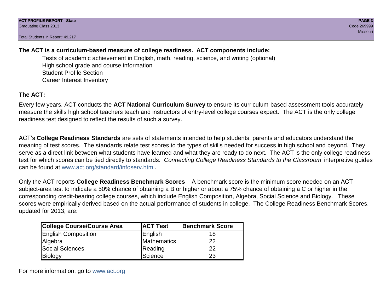# **The ACT is a curriculum-based measure of college readiness. ACT components include:**

Tests of academic achievement in English, math, reading, science, and writing (optional) High school grade and course information Student Profile Section Career Interest Inventory

# **The ACT:**

Every few years, ACT conducts the **ACT National Curriculum Survey** to ensure its curriculum-based assessment tools accurately measure the skills high school teachers teach and instructors of entry-level college courses expect. The ACT is the only college readiness test designed to reflect the results of such a survey.

ACT's **College Readiness Standards** are sets of statements intended to help students, parents and educators understand the meaning of test scores. The standards relate test scores to the types of skills needed for success in high school and beyond. They serve as a direct link between what students have learned and what they are ready to do next. The ACT is the only college readiness test for which scores can be tied directly to standards. *Connecting College Readiness Standards to the Classroom* interpretive guides can be found at www.act.org/standard/infoserv.html.

Only the ACT reports **College Readiness Benchmark Scores** – A benchmark score is the minimum score needed on an ACT subject-area test to indicate a 50% chance of obtaining a B or higher or about a 75% chance of obtaining a C or higher in the corresponding credit-bearing college courses, which include English Composition, Algebra, Social Science and Biology. These scores were empirically derived based on the actual performance of students in college. The College Readiness Benchmark Scores, updated for 2013, are:

| <b>College Course/Course Area</b> | <b>ACT Test</b> | <b>Benchmark Score</b> |
|-----------------------------------|-----------------|------------------------|
| <b>English Composition</b>        | English         | 18                     |
| Algebra                           | Mathematics     | 22                     |
| <b>Social Sciences</b>            | Reading         | 22                     |
| Biology                           | Science         | 23                     |

For more information, go to www.act.org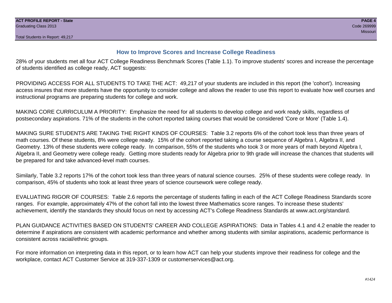# **How to Improve Scores and Increase College Readiness**

28% of your students met all four ACT College Readiness Benchmark Scores (Table 1.1). To improve students' scores and increase the percentage of students identified as college ready, ACT suggests:

PROVIDING ACCESS FOR ALL STUDENTS TO TAKE THE ACT: 49,217 of your students are included in this report (the 'cohort'). Increasing access insures that more students have the opportunity to consider college and allows the reader to use this report to evaluate how well courses and instructional programs are preparing students for college and work.

MAKING CORE CURRICULUM A PRIORITY: Emphasize the need for all students to develop college and work ready skills, regardless of postsecondary aspirations. 71% of the students in the cohort reported taking courses that would be considered 'Core or More' (Table 1.4).

MAKING SURE STUDENTS ARE TAKING THE RIGHT KINDS OF COURSES: Table 3.2 reports 6% of the cohort took less than three years of math courses. Of these students, 8% were college ready. 15% of the cohort reported taking a course sequence of Algebra I, Algebra II, and Geometry. 13% of these students were college ready. In comparison, 55% of the students who took 3 or more years of math beyond Algebra I, Algebra II, and Geometry were college ready. Getting more students ready for Algebra prior to 9th grade will increase the chances that students will be prepared for and take advanced-level math courses.

Similarly, Table 3.2 reports 17% of the cohort took less than three years of natural science courses. 25% of these students were college ready. In comparison, 45% of students who took at least three years of science coursework were college ready.

EVALUATING RIGOR OF COURSES: Table 2.6 reports the percentage of students falling in each of the ACT College Readiness Standards score ranges. For example, approximately 47% of the cohort fall into the lowest three Mathematics score ranges. To increase these students' achievement, identify the standards they should focus on next by accessing ACT's College Readiness Standards at www.act.org/standard.

PLAN GUIDANCE ACTIVITIES BASED ON STUDENTS' CAREER AND COLLEGE ASPIRATIONS: Data in Tables 4.1 and 4.2 enable the reader to determine if aspirations are consistent with academic performance and whether among students with similar aspirations, academic performance is consistent across racial/ethnic groups.

For more information on interpreting data in this report, or to learn how ACT can help your students improve their readiness for college and the workplace, contact ACT Customer Service at 319-337-1309 or customerservices@act.org.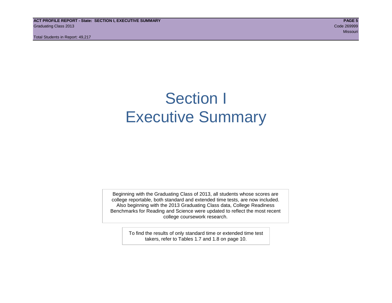**ACT PROFILE REPORT - State: SECTION I, EXECUTIVE SUMMARY PAGE 5** Graduating Class 2013 Code 269999

Total Students in Report: 49,217

Missouri and the Missouri and the Missouri and the Missouri and the Missouri and Missouri and Missouri and Mis

# Section I Executive Summary

Beginning with the Graduating Class of 2013, all students whose scores are college reportable, both standard and extended time tests, are now included. Also beginning with the 2013 Graduating Class data, College Readiness Benchmarks for Reading and Science were updated to reflect the most recent college coursework research.

> To find the results of only standard time or extended time test takers, refer to Tables 1.7 and 1.8 on page 10.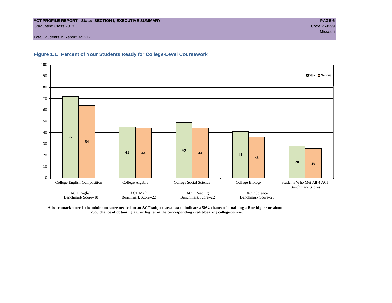#### **ACT PROFILE REPORT - State: SECTION I, EXECUTIVE SUMMARY PAGE 6** Graduating Class 2013 Code 269999

Total Students in Report: 49,217





**A benchmark score is the minimum score needed on an ACT subject-area test to indicate a 50% chance of obtaining a B or higher or about a 75% chance of obtaining a C or higher in the corresponding credit-bearing college course.**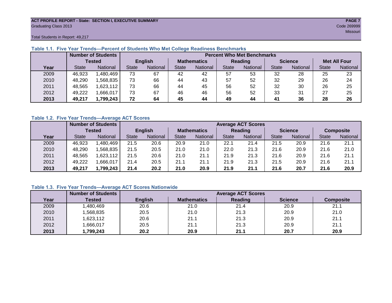#### **ACT PROFILE REPORT - State: SECTION I, EXECUTIVE SUMMARY PAGE 7** Graduating Class 2013 Code 269999

Total Students in Report: 49,217

|      |               | <b>Number of Students</b> |                | <b>Percent Who Met Benchmarks</b> |                    |          |                |                 |                |          |                     |                 |  |
|------|---------------|---------------------------|----------------|-----------------------------------|--------------------|----------|----------------|-----------------|----------------|----------|---------------------|-----------------|--|
|      | <b>Tested</b> |                           | <b>English</b> |                                   | <b>Mathematics</b> |          | <b>Reading</b> |                 | <b>Science</b> |          | <b>Met All Four</b> |                 |  |
| Year | <b>State</b>  | <b>National</b>           | <b>State</b>   | National                          | State              | National | <b>State</b>   | <b>National</b> | <b>State</b>   | National | <b>State</b>        | <b>National</b> |  |
| 2009 | 46,923        | ,480,469                  | 73             | 67                                | 42                 | 42       | 57             | 53              | 32             | 28       | 25                  | 23              |  |
| 2010 | 48,290        | .568.835                  | 73             | 66                                | 44                 | 43       | 57             | 52              | 32             | 29       | 26                  | 24              |  |
| 2011 | 48,565        | .623,112                  | 73             | 66                                | 44                 | 45       | 56             | 52              | 32             | 30       | 26                  | 25              |  |
| 2012 | 49,222        | .666,017                  | 73             | 67                                | 46                 | 46       | 56             | 52              | 33             | 31       | 27                  | 25              |  |
| 2013 | 49,217        | 1,799,243                 | 72             | 64                                | 45                 | 44       | 49             | 44              | 41             | 36       | 28                  | 26              |  |

# **Table 1.1. Five Year Trends—Percent of Students Who Met College Readiness Benchmarks**

# **Table 1.2. Five Year Trends—Average ACT Scores**

|      |               | <b>Number of Students</b> |                |          | <b>Average ACT Scores</b> |                 |              |                 |                |          |                  |          |  |
|------|---------------|---------------------------|----------------|----------|---------------------------|-----------------|--------------|-----------------|----------------|----------|------------------|----------|--|
|      | <b>Tested</b> |                           | <b>English</b> |          | <b>Mathematics</b>        |                 | Reading      |                 | <b>Science</b> |          | <b>Composite</b> |          |  |
| Year | <b>State</b>  | <b>National</b>           | <b>State</b>   | National | State                     | <b>National</b> | <b>State</b> | <b>National</b> | <b>State</b>   | National | <b>State</b>     | National |  |
| 2009 | 46,923        | ,480,469                  | 21.5           | 20.6     | 20.9                      | 21.0            | 22.1         | 21.4            | 21.5           | 20.9     | 21.6             | 21.1     |  |
| 2010 | 48,290        | .568.835                  | 21.5           | 20.5     | 21.0                      | 21.0            | 22.0         | 21.3            | 21.6           | 20.9     | 21.6             | 21.0     |  |
| 2011 | 48.565        | ,623,112                  | 21.5           | 20.6     | 21.0                      | 21.1            | 21.9         | 21.3            | 21.6           | 20.9     | 21.6             | 21.1     |  |
| 2012 | 49,222        | .666,017                  | 21.4           | 20.5     | 21.1                      | 21.1            | 21.9         | 21.3            | 21.5           | 20.9     | 21.6             | 21.1     |  |
| 2013 | 49,217        | ,799,243                  | 21.4           | 20.2     | 21.0                      | 20.9            | 21.9         | 21.1            | 21.6           | 20.7     | 21.6             | 20.9     |  |

# **Table 1.3. Five Year Trends—Average ACT Scores Nationwide**

|      | <b>Number of Students</b> |                | <b>Average ACT Scores</b> |         |                |                  |  |  |  |  |  |
|------|---------------------------|----------------|---------------------------|---------|----------------|------------------|--|--|--|--|--|
| Year | Tested                    | <b>English</b> | <b>Mathematics</b>        | Reading | <b>Science</b> | <b>Composite</b> |  |  |  |  |  |
| 2009 | ,480,469                  | 20.6           | 21.0                      | 21.4    | 20.9           | 21.1             |  |  |  |  |  |
| 2010 | ,568,835                  | 20.5           | 21.0                      | 21.3    | 20.9           | 21.0             |  |  |  |  |  |
| 2011 | ,623,112                  | 20.6           | 21.1                      | 21.3    | 20.9           | 21.1             |  |  |  |  |  |
| 2012 | ,666,017                  | 20.5           | 21.1                      | 21.3    | 20.9           | 21.1             |  |  |  |  |  |
| 2013 | ,799,243                  | 20.2           | 20.9                      | 21.1    | 20.7           | 20.9             |  |  |  |  |  |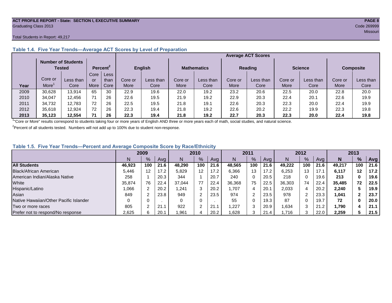#### **ACT PROFILE REPORT - State: SECTION I, EXECUTIVE SUMMARY PAGE 8** Graduating Class 2013 Code 269999

#### Total Students in Report: 49,217

|      |         | <b>Number of Students</b><br>Tested |      | Percent <sup>2</sup> | <b>English</b> |           | <b>Mathematics</b> |           | <b>Reading</b> |           | <b>Science</b> |           | <b>Composite</b> |           |
|------|---------|-------------------------------------|------|----------------------|----------------|-----------|--------------------|-----------|----------------|-----------|----------------|-----------|------------------|-----------|
|      |         |                                     | Core | Less <sup>7</sup>    |                |           |                    |           |                |           |                |           |                  |           |
|      | Core or | Less than                           | or   | than                 | Core or        | Less than | Core or            | Less than | Core or        | Less than | Core or        | Less than | Core or          | Less than |
| Year | More    | Core                                | More | Core                 | <b>More</b>    | Core      | More               | Core      | More           | Core      | More           | Core      | More             | Core      |
| 2009 | 30,628  | 13,914                              | 65   | 30                   | 22.9           | 19.6      | 22.0               | 19.2      | 23.2           | 20.6      | 22.5           | 20.0      | 22.8             | 20.0      |
| 2010 | 34,047  | 12.456                              | 71   | 26                   | 22.6           | 19.5      | 21.9               | 19.2      | 22.9           | 20.3      | 22.4           | 20.1      | 22.6             | 19.9      |
| 2011 | 34,732  | 12,783                              | 72   | 26                   | 22.5           | 19.5      | 21.8               | 19.1      | 22.6           | 20.3      | 22.3           | 20.0      | 22.4             | 19.9      |
| 2012 | 35,618  | 12.924                              | 72   | 26                   | 22.3           | 19.4      | 21.8               | 19.2      | 22.6           | 20.2      | 22.2           | 19.9      | 22.3             | 19.8      |
| 2013 | 35.123  | 12.554                              | 71   | 26                   | 22.3           | 19.4      | 21.8               | 19.2      | 22.7           | 20.3      | 22.3           | 20.0      | 22.4             | 19.8      |

# **Table 1.4. Five Year Trends—Average ACT Scores by Level of Preparation**

<sup>1</sup>"Core or More" results correspond to students taking four or more years of English AND three or more years each of math, social studies, and natural science.

 $2$ Percent of all students tested. Numbers will not add up to 100% due to student non-response.

# **Table 1.5. Five Year Trends—Percent and Average Composite Score by Race/Ethnicity**

|                                        |        | 2009    |      |        | 2010   |      | 2011   |      | 2012 |        |     | 2013 |        |               |      |
|----------------------------------------|--------|---------|------|--------|--------|------|--------|------|------|--------|-----|------|--------|---------------|------|
|                                        | N      | $\%$    | Avg  | N      | %      | Avg  | N      | $\%$ | Avg  | N      | %   | Ava  | N      | $\frac{9}{6}$ | Avg  |
| <b>All Students</b>                    | 46.923 | 100     | 21.6 | 48.290 | 100    | 21.6 | 48.565 | 100  | 21.6 | 49.222 | 100 | 21.6 | 49.217 | 100           | 21.6 |
| Black/African American                 | 5.446  | $12 \,$ | 17.2 | 5,829  | 12     | 17.2 | 6,366  | 13   | 17.2 | 6,253  | 13  | 17.7 | 6,117  | $12 \,$       | 17.2 |
| American Indian/Alaska Native          | 258    |         | 20.3 | 344    |        | 20.7 | 240    | 0    | 20.5 | 218    |     | 19.6 | 213    | 0             | 19.6 |
| White                                  | 35.874 | 76      | 22.4 | 37.044 | 77     | 22.4 | 36,368 | 75   | 22.5 | 36,303 | 74  | 22.4 | 35.485 | 72            | 22.5 |
| Hispanic/Latino                        | 1.066  |         | 20.2 | ,241   | 3      | 20.2 | 1.707  | 4    | 20.1 | 2,033  |     | 20.2 | 2,240  |               | 19.9 |
| Asian                                  | 849    |         | 23.8 | 949    | 2      | 23.5 | 974    | 2    | 23.5 | 978    | ົ   | 23.3 | 1,041  |               | 23.7 |
| Native Hawaiian/Other Pacific Islander |        |         |      | 0      | 0      |      | 55     | 0    | 19.3 | 87     |     | 19.7 | 72     | 0             | 20.0 |
| Two or more races                      | 805    |         | 21.7 | 922    | $\sim$ | 21.  | ,227   | 3    | 20.9 | .634   | ົ   | 21.2 | 1.790  |               | 21.1 |
| Prefer not to respond/No response      | 2,625  | 6.      | 20.1 | .961   | 4      | 20.2 | .628   | 3    | 21.4 | .716   |     | 22.0 | 2,259  |               | 21.5 |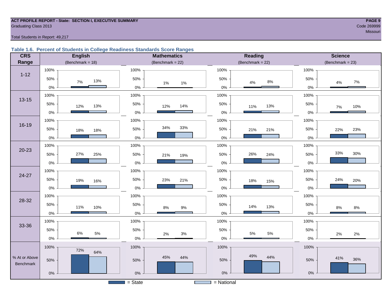#### **ACT PROFILE REPORT - State: SECTION I, EXECUTIVE SUMMARY PAGE 9** Code 269999 Craduating Class 2013

Total Students in Report: 49,217

#### **Table 1.6. Percent of Students in College Readiness Standards Score Ranges**

| <b>CRS</b>    | <b>English</b>       | <b>Mathematics</b>           | <b>Reading</b>       | <b>Science</b>     |
|---------------|----------------------|------------------------------|----------------------|--------------------|
| Range         | (Benchmark = $18$ )  | (Benchmark = $22$ )          | (Benchmark = $22$ )  | $(Benchmark = 23)$ |
|               | 100%                 | 100%                         | 100%                 | 100%               |
| $1 - 12$      | 50%<br>13%<br>$7\%$  | 50%<br>$1\%$<br>$1\%$        | 50%<br>$8\%$<br>4%   | 50%<br>$7\%$<br>4% |
|               | $0\%$                | $0\%$                        | $0\%$                | $0\%$              |
| $13 - 15$     | 100%                 | 100%                         | 100%                 | 100%               |
|               | 50%<br>13%<br>12%    | 50%<br>14%<br>12%            | 50%<br>13%<br>11%    | 50%<br>10%<br>7%   |
|               | $0\%$                | $0\%$                        | $0\%$                | 0%                 |
|               | 100%                 | 100%                         | 100%                 | 100%               |
| $16 - 19$     | 50%<br>18%<br>18%    | 34%<br>33%<br>50%            | 50%<br>21%<br>21%    | 50%<br>23%<br>22%  |
|               | $0\%$                | $0\%$                        | $0\%$                | 0%                 |
|               | 100%                 | 100%                         | 100%                 | 100%               |
| $20 - 23$     | 27%<br>50%<br>25%    | 50%<br>21%<br>19%            | 26%<br>50%<br>24%    | 33%<br>30%<br>50%  |
|               | $0\%$                | $0\%$                        | $0\%$                | 0%                 |
|               | 100%                 | 100%                         | 100%                 | 100%               |
| 24-27         | 50%<br>19%<br>16%    | 50%<br>23%<br>21%            | 50%<br>18%<br>15%    | 50%<br>24%<br>20%  |
|               | $0\%$                | $0\%$                        | 0%                   | 0%                 |
| 28-32         | 100%                 | 100%                         | 100%                 | 100%               |
|               | 50%<br>11%<br>10%    | 50%<br>$9\%$<br>$8\%$        | 50%<br>14%<br>13%    | 50%<br>8%<br>$8\%$ |
|               | $0\%$                | $0\%$                        | $0\%$                | 0%                 |
|               | 100%                 | 100%                         | 100%                 | 100%               |
| 33-36         | 50%                  | 50%                          | 50%                  | 50%                |
|               | 6%<br>$5\%$<br>$0\%$ | $3%$<br>2%<br>$0\%$          | $5\%$<br>5%<br>$0\%$ | 2%<br>2%<br>$0\%$  |
|               | 100%                 | 100%                         | 100%                 | 100%               |
| % At or Above | 72%<br>64%           | 45%<br>44%                   | 49%<br>44%           |                    |
| Benchmark     | 50%                  | 50%                          | 50%                  | 41%<br>36%<br>50%  |
|               | $0\%$                | $0\%$                        | $0\%$                | $0\%$              |
|               |                      | $=$ State<br><b>Contract</b> | $=$ National         |                    |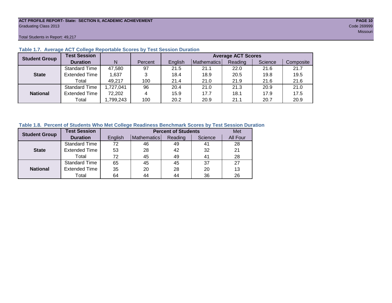#### **ACT PROFILE REPORT- State: SECTION II, ACADEMIC ACHIEVEMENT PAGE 10** Graduating Class 2013 Code 269999

Total Students in Report: 49,217

| <b>Student Group</b> | <b>Test Session</b>  |          |         |         |             | <b>Average ACT Scores</b> |         |           |
|----------------------|----------------------|----------|---------|---------|-------------|---------------------------|---------|-----------|
|                      | <b>Duration</b>      | N        | Percent | English | Mathematics | Reading                   | Science | Composite |
|                      | <b>Standard Time</b> | 47,580   | 97      | 21.5    | 21.1        | 22.0                      | 21.6    | 21.7      |
| <b>State</b>         | <b>Extended Time</b> | 1,637    | 3       | 18.4    | 18.9        | 20.5                      | 19.8    | 19.5      |
|                      | Total                | 49,217   | 100     | 21.4    | 21.0        | 21.9                      | 21.6    | 21.6      |
|                      | <b>Standard Time</b> | ,727,041 | 96      | 20.4    | 21.0        | 21.3                      | 20.9    | 21.0      |
| <b>National</b>      | <b>Extended Time</b> | 72,202   | 4       | 15.9    | 17.7        | 18.1                      | 17.9    | 17.5      |
|                      | Total                | ,799,243 | 100     | 20.2    | 20.9        | 21.1                      | 20.7    | 20.9      |

# **Table 1.7. Average ACT College Reportable Scores by Test Session Duration**

# **Table 1.8. Percent of Students Who Met College Readiness Benchmark Scores by Test Session Duration**

| <b>Student Group</b> | <b>Test Session</b>  |         | <b>Percent of Students</b> | Met     |         |          |
|----------------------|----------------------|---------|----------------------------|---------|---------|----------|
|                      | <b>Duration</b>      | English | Mathematics                | Reading | Science | All Four |
|                      | <b>Standard Time</b> | 72      | 46                         | 49      | 41      | 28       |
| <b>State</b>         | <b>Extended Time</b> | 53      | 28                         | 42      | 32      | 21       |
|                      | Total                | 72      | 45                         | 49      | 41      | 28       |
|                      | <b>Standard Time</b> | 65      | 45                         | 45      | 37      | 27       |
| <b>National</b>      | <b>Extended Time</b> | 35      | 20                         | 28      | 20      | 13       |
|                      | Total                | 64      | 44                         | 44      | 36      | 26       |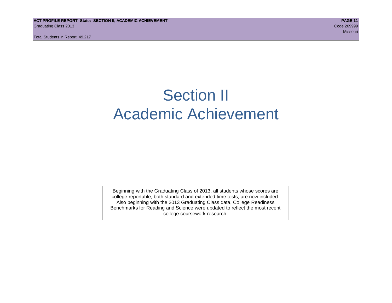# Section II Academic Achievement

Beginning with the Graduating Class of 2013, all students whose scores are college reportable, both standard and extended time tests, are now included. Also beginning with the 2013 Graduating Class data, College Readiness Benchmarks for Reading and Science were updated to reflect the most recent college coursework research.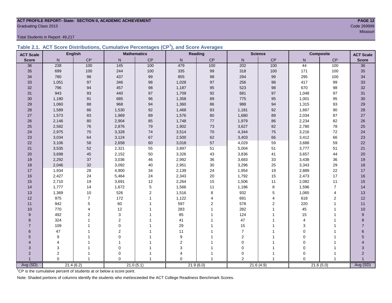#### **ACT PROFILE REPORT- State: SECTION II, ACADEMIC ACHIEVEMENT PAGE 12** Code 269999 Code 269999 Code 269999 Code 269999 Code 269999 Code 269999 Code 269999 Code 269999 Code 269999 Code 269999 Code 269999 Code 269999 Code 269999 Code 269999 Code 269999 Code 269999 Code 269999 Code 269999 Code 2

Total Students in Report: 49,217

|  | Table 2.1. ACT Score Distributions, Cumulative Percentages (CP <sup>1</sup> ), and Score Averages |  |  |  |
|--|---------------------------------------------------------------------------------------------------|--|--|--|
|  |                                                                                                   |  |  |  |

| <b>ACT Scale</b> |                | <b>English</b> |                | <b>Mathematics</b> |                  | Reading        |                | <b>Science</b> |          | <b>Composite</b> | <b>ACT Scale</b> |
|------------------|----------------|----------------|----------------|--------------------|------------------|----------------|----------------|----------------|----------|------------------|------------------|
| <b>Score</b>     | N              | <b>CP</b>      | N              | CP                 | N                | CP             | N              | CP             | N        | CP               | <b>Score</b>     |
| 36               | 238            | 100            | 145            | 100                | 479              | 100            | 202            | 100            | 44       | 100              | $\overline{36}$  |
| 35               | 699            | 100            | 244            | 100                | 335              | 99             | 318            | 100            | 171      | 100              | 35               |
| 34               | 780            | 98             | 437            | $99\,$             | 855              | 98             | 294            | 99             | 295      | 100              | 34               |
| 33               | 1,051          | 97             | 346            | 98                 | 1,028            | 97             | 256            | 98             | 417      | 99               | 33               |
| 32               | 796            | 94             | 457            | 98                 | 1,187            | 95             | 523            | 98             | 670      | 98               | 32               |
| 31               | 943            | 93             | 440            | 97                 | 1,709            | 92             | 681            | $97\,$         | 1,048    | 97               | 31               |
| 30               | 1,180          | 91             | 685            | 96                 | 1,358            | 89             | 775            | 95             | 1,001    | 95               | 30               |
| 29               | 1,060          | 88             | 968            | 94                 | 1,360            | 86             | 988            | 94             | 1,315    | 93               | 29               |
| 28               | 1,589          | 86             | 1,530          | 92                 | 1,468            | 83             | 1,181          | 92             | 1,667    | 90               | 28               |
| 27               | 1,573          | 83             | 1,969          | 89                 | 1,576            | 80             | 1,680          | 89             | 2,034    | 87               | 27               |
| 26               | 2,146          | 80             | 2,904          | 85                 | 1,748            | 77             | 1,979          | 86             | 2,234    | 82               | 26               |
| 25               | 2,582          | 76             | 2,876          | 79                 | 1,902            | 73             | 3,627          | 82             | 2,780    | 78               | 25               |
| 24               | 2,975          | 70             | 3,328          | $74$               | 3,514            | 70             | 4,344          | 75             | 3,216    | 72               | 24               |
| 23               | 3,034          | 64             | 3,124          | 67                 | 2,500            | 62             | 3,403          | 66             | 3,412    | 66               | 23               |
| 22               | 3,106          | 58             | 2,658          | 60                 | 3,018            | 57             | 4,029          | 59             | 3,688    | 59               | 22               |
| 21               | 3,535          | 52             | 2,321          | 55                 | 3,897            | 51             | 5,004          | 51             | 3,777    | 51               | 21               |
| 20               | 3,698          | 45             | 2,152          | 50                 | 3,326            | 43             | 3,836          | 41             | 3,657    | 44               | 20               |
| 19               | 2,292          | 37             | 3,036          | 46                 | 2,992            | 36             | 3,683          | 33             | 3,438    | 36               | 19               |
| 18               | 2,046          | 32             | 3,092          | 40                 | 2,951            | 30             | 3,296          | 25             | 3,343    | 29               | 18               |
| 17               | 1,934          | 28             | 4,900          | 34                 | 2,139            | 24             | 1,954          | 19             | 2,889    | 22               | $17$             |
| 16               | 2,427          | 24             | 5,464          | 24                 | 2,343            | 20             | 1,792          | 15             | 2,473    | 17               | 16               |
| 15               | 2,710          | 19             | 3,691          | 12                 | 2,264            | 15             | 1,506          | 11             | 2,082    | 11               | 15               |
| 14               | 1,777          | 14             | 1,672          | $\sqrt{5}$         | 1,566            | 11             | 1,186          | 8              | 1,596    | $\overline{7}$   | 14               |
| 13               | 1,369          | 10             | 526            | $\mathbf 2$        | 1,516            | 8              | 932            | 5              | 1,065    | $\overline{4}$   | 13               |
| 12               | 975            | $\overline{7}$ | 172            | $\mathbf{1}$       | 1,122            | 4              | 691            | 4              | 618      | $\overline{2}$   | 12               |
| 11               | 942            | 5              | 60             | $\overline{1}$     | 597              | $\overline{2}$ | 578            | $\overline{2}$ | 220      | $\mathbf{1}$     | 11               |
| 10               | 770            | 4              | 12             |                    | 283              |                | 282            |                | 45       |                  | 10               |
| 9                | 492            | $\overline{2}$ | 3              |                    | 85               |                | 124            |                | 15       |                  | 9                |
| 8                | 324            |                | $\overline{2}$ |                    | 41               |                | 47             |                | 4        |                  | 8                |
| $\overline{7}$   | 109            |                | $\Omega$       |                    | 29               |                | 15             |                | 3        |                  | $\overline{7}$   |
| 6                | 47             |                | $\overline{2}$ |                    | 11               |                | $\overline{7}$ |                | 0        |                  | 6                |
| 5                | 9              |                | $\Omega$       |                    | $\boldsymbol{9}$ |                | $\overline{2}$ |                | 0        |                  | 5                |
| 4                | 4              |                | $\mathbf 1$    |                    | $\boldsymbol{2}$ |                | $\mathbf 0$    |                | 0        |                  |                  |
| 3                | 3              |                | 0              |                    | 3                |                | $\mathbf 0$    |                | 0        |                  | 3                |
| $\overline{2}$   | $\overline{c}$ |                | 0              |                    | $\overline{4}$   |                | 0              |                | $\Omega$ |                  | $\overline{2}$   |
|                  | $\Omega$       | $\overline{1}$ | $\Omega$       | $\overline{1}$     | $\overline{0}$   |                | 2              | $\overline{1}$ | $\Omega$ |                  |                  |
| Avg (SD)         |                | 21.4(6.2)      |                | 21.0(5.1)          |                  | 21.9(6.0)      |                | 21.6(4.9)      |          | 21.6(5.0)        | Avg (SD)         |

<sup>1</sup>CP is the cumulative percent of students at or below a score point.

Note: Shaded portions of columns identify the students who met/exceeded the ACT College Readiness Benchmark Scores.

Missouri and the Missouri and the Missouri and the Missouri and the Missouri and Missouri and Missouri and Mis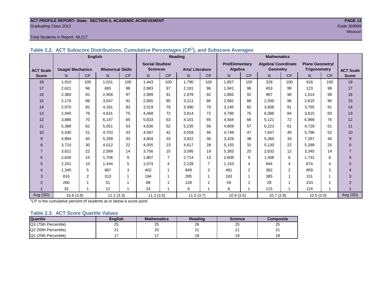#### **ACT PROFILE REPORT- State: SECTION II, ACADEMIC ACHIEVEMENT PAGE 13** Code 269999 Code 269999 Code 269999 Code 269999 Code 269999 Code 269999 Code 269999 Code 269999 Code 269999 Code 269999 Code 269999 Code 269999 Code 269999 Code 269999 Code 269999 Code 269999 Code 269999 Code 269999 Code 2

#### Total Students in Report: 49,217

| Table 2.2. ACT Subscore Distributions, Cumulative Percentages (CP <sup>1</sup> ), and Subscore Averages |  |
|---------------------------------------------------------------------------------------------------------|--|
|---------------------------------------------------------------------------------------------------------|--|

|                  |                         | <b>English</b>         |                          |     | Reading                |                |                        |     | <b>Mathematics</b>    |     |                            |                |                        |     |                  |
|------------------|-------------------------|------------------------|--------------------------|-----|------------------------|----------------|------------------------|-----|-----------------------|-----|----------------------------|----------------|------------------------|-----|------------------|
|                  |                         |                        |                          |     | <b>Social Studies/</b> |                |                        |     | <b>Pre/Elementary</b> |     | <b>Algebra/ Coordinate</b> |                | <b>Plane Geometry/</b> |     |                  |
| <b>ACT Scale</b> | <b>Usage/ Mechanics</b> |                        | <b>Rhetorical Skills</b> |     | <b>Sciences</b>        |                | <b>Arts/Literature</b> |     | Algebra               |     | <b>Geometry</b>            |                | <b>Trigonometry</b>    |     | <b>ACT Scale</b> |
| <b>Score</b>     | N.                      | CP                     | N                        | CP  | N.                     | CP             | N                      | CP  | N.                    | CP  | N                          | <b>CP</b>      | N.                     | CP  | <b>Score</b>     |
| 18               | 1,910                   | 100                    | 1,031                    | 100 | 1,443                  | 100            | 1.790                  | 100 | 1,857                 | 100 | 328                        | 100            | 418                    | 100 | 18               |
| 17               | 2,621                   | 96                     | 665                      | 98  | 2,883                  | 97             | 2.181                  | 96  | 1,941                 | 96  | 453                        | 99             | 123                    | 99  | 17               |
| 16               | 2,360                   | 91                     | 2,958                    | 97  | 2,989                  | 91             | 2,978                  | 92  | 1,865                 | 92  | 967                        | 98             | 1,514                  | 99  | 16               |
| 15               | 2,176                   | 86                     | 3,547                    | 91  | 2,855                  | 85             | 3,211                  | 86  | 2,982                 | 88  | 2,500                      | 96             | 2,615                  | 96  | 15               |
| 14               | 2,970                   | 82                     | 4,181                    | 83  | 3,519                  | 79             | 3,490                  | 79  | 3,145                 | 82  | 3,608                      | 91             | 3,765                  | 91  | 14               |
| 13               | 2,945                   | 76                     | 4,631                    | 75  | 4,468                  | 72             | 3,814                  | 72  | 4,786                 | 76  | 6,086                      | 84             | 3,615                  | 83  | 13               |
| 12               | 3,886                   | 70                     | 6,147                    | 65  | 5,633                  | 63             | 4,101                  | 65  | 4,564                 | 66  | 5,121                      | 72             | 6,969                  | 76  | 12               |
| 11               | 5,368                   | 62                     | 5,051                    | 53  | 4,636                  | 52             | 5,235                  | 56  | 4,859                 | 57  | 6,223                      | 61             | 4,729                  | 61  | 11               |
| 10               | 5,430                   | 51                     | 4,703                    | 43  | 4,587                  | 42             | 4,559                  | 46  | 4,749                 | 47  | 7,647                      | 49             | 5,796                  | 52  | 10               |
| 9                | 4,894                   | 40                     | 5,299                    | 33  | 4,804                  | 33             | 3,922                  | 36  | 3,429                 | 38  | 5,360                      | 33             | 7,267                  | 40  | 9                |
| 8                | 3,710                   | 30                     | 4,012                    | 22  | 4,055                  | 23             | 4.617                  | 28  | 5,155                 | 31  | 5,130                      | 22             | 5,289                  | 25  | 8                |
| $\overline{7}$   | 3,621                   | 22                     | 2,599                    | 14  | 3,756                  | 15             | 3,095                  | 19  | 5,383                 | 20  | 2,632                      | 12             | 3,345                  | 14  | $\overline{7}$   |
| 6                | 2,630                   | 15                     | 1,706                    | 9   | 1,807                  | $\overline{7}$ | 2,714                  | 13  | 2,608                 | 9   | 1,408                      | 6              | 1,731                  | 8   | 6                |
| 5                | 2,241                   | 10                     | 1,444                    | 5   | 1,074                  | 4              | 2,239                  | 7   | 1,153                 | 4   | 844                        | 4              | 674                    | 4   | 5                |
| $\overline{4}$   | 1.340                   | 5                      | 867                      | 3   | 402                    | 1              | 849                    | 3   | 491                   | 2   | 382                        | $\overline{2}$ | 859                    | 3   | $\overline{4}$   |
| 3                | 816                     | $\overline{2}$         | 313                      | 1   | 194                    | 1              | 285                    |     | 183                   |     | 385                        |                | 151                    |     | 3                |
| 2                | 266                     |                        | 51                       |     | 88                     |                | 128                    |     | 59                    |     | 28                         |                | 233                    |     | $\overline{2}$   |
|                  | 33                      | 1                      | 12                       | 1   | 24                     |                | 9                      |     | 8                     |     | 115                        |                | 124                    |     |                  |
| Avg (SD)         |                         | 11.1(3.3)<br>10.6(3.8) |                          |     | 11.3(3.5)              |                | 11.0(3.7)              |     | 10.9(3.5)             |     | 10.7(2.8)                  |                | 10.5(3.0)              |     | Avg (SD)         |

<sup>1</sup>CP is the cumulative percent of students at or below a score point.

#### **Table 2.3. ACT Score Quartile Values**

| <b>Quartile</b>      | <b>Enalish</b> | <b>Mathematics</b> | Reading | <b>Science</b> | Composite |
|----------------------|----------------|--------------------|---------|----------------|-----------|
| Q3 (75th Percentile) | 25             | 25                 | 26      | 25             | 25        |
| Q2 (50th Percentile) |                | 20                 | n.<br>∠ | ິ<br>-         | <u>_</u>  |
| Q1 (25th Percentile) |                |                    |         | 1 ດ<br>O       |           |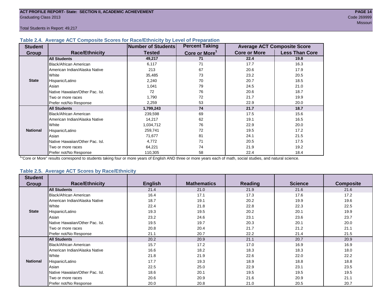#### **Table 2.4. Average ACT Composite Scores for Race/Ethnicity by Level of Preparation**

| <b>Student</b>  |                                 | <b>Number of Students</b> | <b>Percent Taking</b>     |                     | <b>Average ACT Composite Score</b> |  |
|-----------------|---------------------------------|---------------------------|---------------------------|---------------------|------------------------------------|--|
| <b>Group</b>    | <b>Race/Ethnicity</b>           | <b>Tested</b>             | Core or More <sup>1</sup> | <b>Core or More</b> | <b>Less Than Core</b>              |  |
|                 | <b>All Students</b>             | 49,217                    | 71                        | 22.4                | 19.8                               |  |
|                 | Black/African American          | 6,117                     | 71                        | 17.7                | 16.3                               |  |
|                 | American Indian/Alaska Native   | 213                       | 67                        | 20.6                | 17.9                               |  |
|                 | <b>White</b>                    | 35,485                    | 73                        | 23.2                | 20.5                               |  |
| <b>State</b>    | Hispanic/Latino                 | 2,240                     | 70                        | 20.7                | 18.5                               |  |
|                 | Asian                           | 1,041                     | 79                        | 24.5                | 21.0                               |  |
|                 | Native Hawaiian/Other Pac. Isl. | 72                        | 76                        | 20.6                | 18.7                               |  |
|                 | I Two or more races             | 1,790                     | 72                        | 21.7                | 19.9                               |  |
|                 | Prefer not/No Response          | 2,259                     | 53                        | 22.9                | 20.0                               |  |
|                 | <b>All Students</b>             | 1,799,243                 | 74                        | 21.7                | 18.7                               |  |
|                 | Black/African American          | 239,598                   | 69                        | 17.5                | 15.6                               |  |
|                 | American Indian/Alaska Native   | 14,217                    | 62                        | 19.1                | 16.5                               |  |
|                 | <b>White</b>                    | 1,034,712                 | 76                        | 22.9                | 20.0                               |  |
| <b>National</b> | Hispanic/Latino                 | 259,741                   | 72                        | 19.5                | 17.2                               |  |
|                 | Asian                           | 71,677                    | 81                        | 24.1                | 21.5                               |  |
|                 | Native Hawaiian/Other Pac. Isl. | 4,772                     | 71                        | 20.5                | 17.5                               |  |
|                 | I Two or more races             | 64,221                    | 74                        | 21.9                | 19.2                               |  |
|                 | Prefer not/No Response          | 110,305                   | 58                        | 22.4                | 18.4                               |  |

<sup>1</sup>"Core or More" results correspond to students taking four or more years of English AND three or more years each of math, social studies, and natural science.

#### **Table 2.5. Average ACT Scores by Race/Ethnicity**

| <b>Student</b>  | <b>Race/Ethnicity</b>           |                | <b>Mathematics</b> | <b>Reading</b> | <b>Science</b> | <b>Composite</b> |
|-----------------|---------------------------------|----------------|--------------------|----------------|----------------|------------------|
| <b>Group</b>    |                                 | <b>English</b> |                    |                |                |                  |
|                 | <b>All Students</b>             | 21.4           | 21.0               | 21.9           | 21.6           | 21.6             |
|                 | <b>Black/African American</b>   | 16.4           | 17.1               | 17.3           | 17.6           | 17.2             |
|                 | American Indian/Alaska Native   | 18.7           | 19.1               | 20.2           | 19.9           | 19.6             |
|                 | White                           | 22.4           | 21.8               | 22.8           | 22.3           | 22.5             |
| <b>State</b>    | Hispanic/Latino                 | 19.3           | 19.5               | 20.2           | 20.1           | 19.9             |
|                 | Asian                           | 23.2           | 24.6               | 23.1           | 23.6           | 23.7             |
|                 | Native Hawaiian/Other Pac. Isl. | 19.5           | 19.7               | 20.3           | 20.1           | 20.0             |
|                 | Two or more races               | 20.8           | 20.4               | 21.7           | 21.2           | 21.1             |
|                 | Prefer not/No Response          | 21.1           | 20.7               | 22.2           | 21.4           | 21.5             |
|                 | <b>All Students</b>             | 20.2           | 20.9               | 21.1           | 20.7           | 20.9             |
|                 | Black/African American          | 15.7           | 17.2               | 17.0           | 16.9           | 16.9             |
|                 | American Indian/Alaska Native   | 16.6           | 18.2               | 18.3           | 18.3           | 18.0             |
|                 | White                           | 21.8           | 21.9               | 22.6           | 22.0           | 22.2             |
| <b>National</b> | Hispanic/Latino                 | 17.7           | 19.3               | 18.9           | 18.8           | 18.8             |
|                 | Asian                           | 22.5           | 25.0               | 22.9           | 23.1           | 23.5             |
|                 | Native Hawaiian/Other Pac. Isl. | 18.6           | 20.1               | 19.5           | 19.5           | 19.5             |
|                 | Two or more races               | 20.6           | 20.9               | 21.6           | 20.9           | 21.1             |
|                 | Prefer not/No Response          | 20.0           | 20.8               | 21.0           | 20.5           | 20.7             |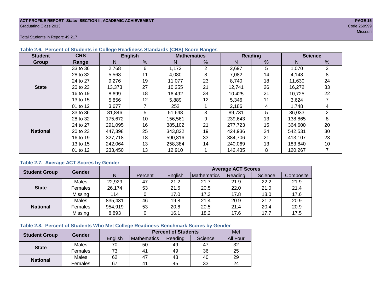#### **ACT PROFILE REPORT- State: SECTION II, ACADEMIC ACHIEVEMENT PAGE 15** Graduating Class 2013 Code 269999

Total Students in Report: 49,217

| <b>Student</b>  | <b>CRS</b> | <b>English</b> |    |         | <b>Mathematics</b> |         | Reading | <b>Science</b> |                |  |
|-----------------|------------|----------------|----|---------|--------------------|---------|---------|----------------|----------------|--|
| <b>Group</b>    | Range      | N              | %  | Ν       | %                  | N       | %       | N              | %              |  |
|                 | 33 to 36   | 2,768          | 6  | 1,172   | 2                  | 2,697   | 5       | 1,070          | $\overline{2}$ |  |
|                 | 28 to 32   | 5,568          | 11 | 4,080   | 8                  | 7,082   | 14      | 4,148          | 8              |  |
|                 | 24 to 27   | 19<br>9,276    |    | 11,077  | 23                 | 8,740   | 18      | 11,630         | 24             |  |
| <b>State</b>    | 20 to 23   | 13,373         | 27 | 10,255  | 21                 | 12,741  | 26      | 16.272         | 33             |  |
|                 | 16 to 19   | 8,699          | 18 | 16,492  | 34                 | 10,425  | 21      | 10,725         | 22             |  |
|                 | 13 to 15   | 5,856          | 12 | 5,889   | 12                 | 5,346   | 11      | 3,624          |                |  |
|                 | 01 to 12   | 3,677          |    | 252     |                    | 2,186   | 4       | 1,748          | 4              |  |
|                 | 33 to 36   | 81,846         | 5  | 51,648  | 3                  | 89,731  | 5       | 36,033         | $\overline{2}$ |  |
|                 | 28 to 32   | 175,672        | 10 | 156,561 | 9                  | 239,643 | 13      | 138,865        | 8              |  |
|                 | 24 to 27   | 291.095        | 16 | 385,102 | 21                 | 277,723 | 15      | 364,600        | 20             |  |
| <b>National</b> | 20 to 23   | 447,398        | 25 | 343.822 | 19                 | 424,936 | 24      | 542,531        | 30             |  |
|                 | 16 to 19   | 327,718        | 18 | 590,816 | 33                 | 384,706 | 21      | 413,107        | 23             |  |
|                 | 13 to 15   | 242,064        | 13 | 258,384 | 14                 | 240,069 | 13      | 183,840        | 10             |  |
|                 | 01 to 12   | 233,450        | 13 | 12,910  |                    | 142,435 | 8       | 120,267        |                |  |

### **Table 2.6. Percent of Students in College Readiness Standards (CRS) Score Ranges**

### **Table 2.7. Average ACT Scores by Gender**

| <b>Student Group</b> | <b>Gender</b> |         |         |         |             | <b>Average ACT Scores</b> |         |           |
|----------------------|---------------|---------|---------|---------|-------------|---------------------------|---------|-----------|
|                      |               | N       | Percent | Enalish | Mathematics | Reading                   | Science | Composite |
|                      | Males         | 22,929  | 47      | 21.2    | 21.7        | 21.9                      | 22.2    | 21.9      |
| <b>State</b>         | Females       | 26,174  | 53      | 21.6    | 20.5        | 22.0                      | 21.0    | 21.4      |
|                      | Missing       | 114     |         | 17.0    | 17.3        | 17.8                      | 18.0    | 17.6      |
|                      | Males         | 835,431 | 46      | 19.8    | 21.4        | 20.9                      | 21.2    | 20.9      |
| <b>National</b>      | Females       | 954,919 | 53      | 20.6    | 20.5        | 21.4                      | 20.4    | 20.9      |
|                      | Missing       | 8,893   | 0       | 16.1    | 18.2        | 17.6                      | 17.7    | 17.5      |

# **Table 2.8. Percent of Students Who Met College Readiness Benchmark Scores by Gender**

| <b>Student Group</b> | Gender  |         | <b>Percent of Students</b> |         |         |          |  |  |  |  |  |
|----------------------|---------|---------|----------------------------|---------|---------|----------|--|--|--|--|--|
|                      |         | English | Mathematics                | Reading | Science | All Four |  |  |  |  |  |
| <b>State</b>         | Males   | 70      | 50                         | 49      | 47      | 32       |  |  |  |  |  |
|                      | Females | 73      | $4^{\prime}$               | 49      | 36      | 25       |  |  |  |  |  |
| <b>National</b>      | Males   | 62      | 47                         | 43      | 40      | 29       |  |  |  |  |  |
|                      | Females | 67      | 4 <sup>1</sup>             | 45      | 33      | 24       |  |  |  |  |  |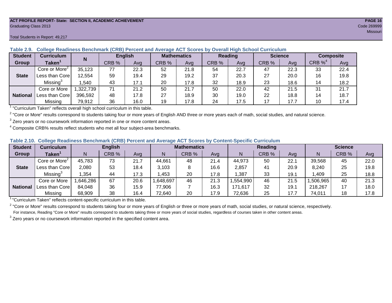#### **ACT PROFILE REPORT- State: SECTION II, ACADEMIC ACHIEVEMENT PAGE 16** Graduating Class 2013 Code 269999

#### Total Students in Report: 49,217

| <b>Student</b>  | Curriculum                | N        |       | <b>English</b> | <b>Mathematics</b> |      | <b>Reading</b> |      | <b>Science</b> |      | <b>Composite</b> |      |
|-----------------|---------------------------|----------|-------|----------------|--------------------|------|----------------|------|----------------|------|------------------|------|
| Group           | Taken $^{\rm \texttt{1}}$ |          | CRB % | Avg            | CRB %              | Avg  | CRB %          | Avg  | CRB %          | Ava  | CRB $\%^4$       | Avg  |
|                 | Core or More <sup>2</sup> | 35,123   | 77    | 22.3           | 52                 | 21.8 | 54             | 22.7 | 47             | 22.3 | 33               | 22.4 |
| <b>State</b>    | Less than Core            | 12,554   | 59    | 19.4           | 29                 | 19.2 | 37             | 20.3 | 27             | 20.0 | 16               | 19.8 |
|                 | Missing <sup>3</sup>      | .540     | 43    | 17.1           | 20                 | 17.8 | 32             | 18.9 | 23             | 18.6 | 14               | 18.2 |
|                 | Core or More              | ,322,739 | 71    | 21.2           | 50                 | 21.7 | 50             | 22.0 | 42             | 21.5 | 31               | 21.7 |
| <b>National</b> | Less than Core            | 396,592  | 48    | 17.8           | 27                 | 18.9 | 30             | 19.0 | 22             | 18.8 | 14               | 18.7 |
|                 | Missing                   | 79,912   | 36    | 16.0           | 19                 | 17.8 | 24             | 17.5 | 17             | 17.7 | 10               | 17.4 |

**Table 2.9. College Readiness Benchmark (CRB) Percent and Average ACT Scores by Overall High School Curriculum**

<sup>1</sup> "Curriculum Taken" reflects overall high school curriculum in this table.

 $^2$  "Core or More" results correspond to students taking four or more years of English AND three or more years each of math, social studies, and natural science.

 $3$  Zero years or no coursework information reported in one or more content areas.

 $4$  Composite CRB% results reflect students who met all four subject-area benchmarks.

|  |  |  |  |  | Table 2.10. College Readiness Benchmark (CRB) Percent and Average ACT Scores by Content-Specific Curriculum |
|--|--|--|--|--|-------------------------------------------------------------------------------------------------------------|
|--|--|--|--|--|-------------------------------------------------------------------------------------------------------------|

| <b>Student</b>  | Curriculum                    | <b>English</b> |       |      | <b>Mathematics</b> |       |      |          | <b>Reading</b> |      | <b>Science</b> |       |      |
|-----------------|-------------------------------|----------------|-------|------|--------------------|-------|------|----------|----------------|------|----------------|-------|------|
| Group           | $\mathsf{Taken}^{\mathsf{T}}$ |                | CRB % | Avg  | N                  | CRB % | Avg  | N        | CRB %          | Avg  | N              | CRB % | Avg  |
|                 | Core or More <sup>2</sup>     | 45,783         | 73    | 21.7 | 44,661             | 48    | 21.4 | 44,973   | 50             | 22.1 | 39,568         | 45    | 22.0 |
| <b>State</b>    | Less than Corel               | 2,080          | 53    | 18.4 | 3,103              |       | 16.6 | 2,857    | 41             | 20.9 | 8,240          | 25    | 19.8 |
|                 | Missing®                      | ,354           | 44    | 17.3 | ,453               | 20    | 17.8 | ,387     | 33             | 19.1 | .409           | 25    | 18.8 |
|                 | Core or More                  | ,646,286       | 67    | 20.6 | 648,697            | 46    | 21.3 | .554,990 | 46             | 21.5 | ,506,965       | 40    | 21.3 |
| <b>National</b> | Less than Core                | 84,048         | 36    | 15.9 | 77,906             |       | 16.3 | 171,617  | 32             | 19.1 | 218,267        | 17    | 18.0 |
|                 | Missing                       | 68,909         | 38    | 16.4 | 72,640             | 20    | 17.9 | 72,636   | 25             | 17.7 | 74,011         | 18    | 17.8 |

<sup>1</sup>"Curriculum Taken" reflects content-specific curriculum in this table.

<sup>2</sup> "Core or More" results correspond to students taking four or more years of English or three or more years of math, social studies, or natural science, respectively. For instance, Reading "Core or More" results correspond to students taking three or more years of social studies, regardless of courses taken in other content areas.

 $3$  Zero years or no coursework information reported in the specified content area.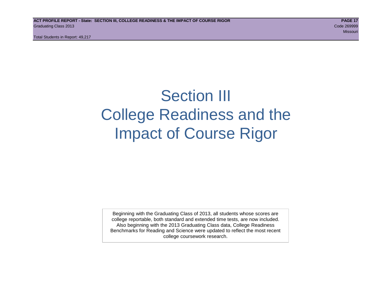# Section III College Readiness and the Impact of Course Rigor

Beginning with the Graduating Class of 2013, all students whose scores are college reportable, both standard and extended time tests, are now included. Also beginning with the 2013 Graduating Class data, College Readiness Benchmarks for Reading and Science were updated to reflect the most recent college coursework research.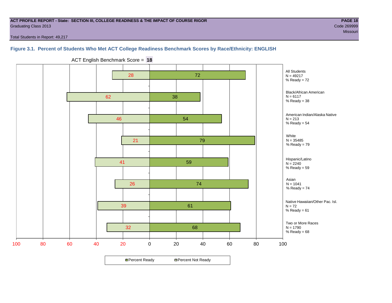#### **ACT PROFILE REPORT - State: SECTION III, COLLEGE READINESS & THE IMPACT OF COURSE RIGOR PAGE 18** Graduating Class 2013 Code 269999

Missouri and the Missouri and the Missouri and the Missouri and the Missouri and Missouri and Missouri and Mis

Total Students in Report: 49,217

# **Figure 3.1. Percent of Students Who Met ACT College Readiness Benchmark Scores by Race/Ethnicity: ENGLISH**



ACT English Benchmark Score = **18**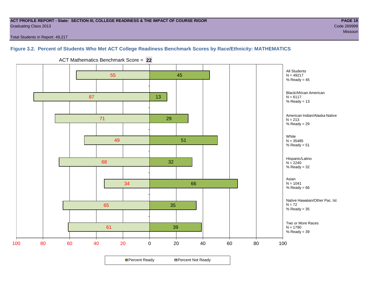#### **ACT PROFILE REPORT - State: SECTION III, COLLEGE READINESS & THE IMPACT OF COURSE RIGOR PAGE 19** Graduating Class 2013 Code 269999

Total Students in Report: 49,217

# **Figure 3.2. Percent of Students Who Met ACT College Readiness Benchmark Scores by Race/Ethnicity: MATHEMATICS**



ACT Mathematics Benchmark Score = **22**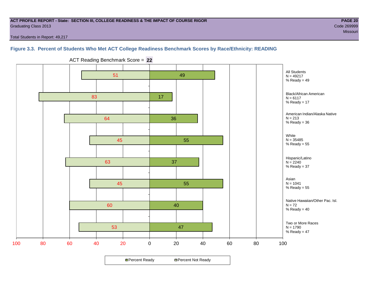#### **ACT PROFILE REPORT - State: SECTION III, COLLEGE READINESS & THE IMPACT OF COURSE RIGOR PAGE 20** Graduating Class 2013 Code 269999

Missouri and the Missouri and the Missouri and the Missouri and the Missouri and Missouri and Missouri and Mis

Total Students in Report: 49,217

# **Figure 3.3. Percent of Students Who Met ACT College Readiness Benchmark Scores by Race/Ethnicity: READING**



ACT Reading Benchmark Score = **22**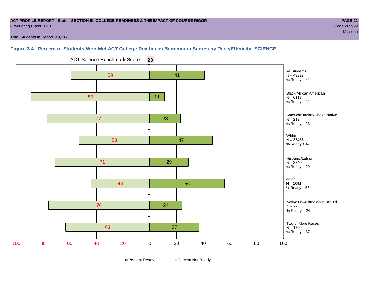#### **ACT PROFILE REPORT - State: SECTION III, COLLEGE READINESS & THE IMPACT OF COURSE RIGOR PAGE 21** Graduating Class 2013 Code 269999

Missouri and the Missouri and the Missouri and the Missouri and the Missouri and Missouri and Missouri and Mis

Total Students in Report: 49,217

### **Figure 3.4. Percent of Students Who Met ACT College Readiness Benchmark Scores by Race/Ethnicity: SCIENCE**



ACT Science Benchmark Score = **23**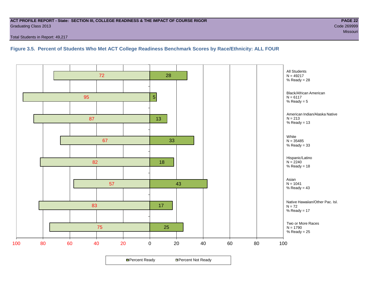#### **ACT PROFILE REPORT - State: SECTION III, COLLEGE READINESS & THE IMPACT OF COURSE RIGOR PAGE 22** Graduating Class 2013 Code 269999

Total Students in Report: 49,217

**Figure 3.5. Percent of Students Who Met ACT College Readiness Benchmark Scores by Race/Ethnicity: ALL FOUR**

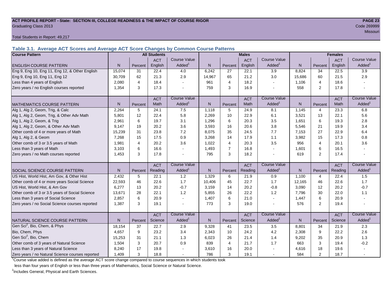#### **ACT PROFILE REPORT - State: SECTION III, COLLEGE READINESS & THE IMPACT OF COURSE RIGOR PAGE 23** Graduating Class 2013 Code 269999

Total Students in Report: 49,217

**Table 3.1. Average ACT Scores and Average ACT Score Changes by Common Course Patterns**

| <b>Course Pattern</b>                            |                |         | <b>All Students</b> |                     |              |                | <b>Males</b> |                       | <b>Females</b> |                |            |                        |
|--------------------------------------------------|----------------|---------|---------------------|---------------------|--------------|----------------|--------------|-----------------------|----------------|----------------|------------|------------------------|
|                                                  |                |         | <b>ACT</b>          | <b>Course Value</b> |              |                | <b>ACT</b>   | <b>Course Value</b>   |                |                | <b>ACT</b> | <b>Course Value</b>    |
| <b>ENGLISH COURSE PATTERN</b>                    | N.             | Percent | English             | Added <sup>1</sup>  | N            | Percent        | English      | Added <sup>1</sup>    | $\overline{N}$ | Percent        | English    | A d d e d <sup>1</sup> |
| Eng 9, Eng 10, Eng 11, Eng 12, & Other English   | 15,074         | 31      | 22.4                | 4.0                 | 6,242        | 27             | 22.1         | 3.9                   | 8,824          | 34             | 22.5       | 3.9                    |
| Eng 9, Eng 10, Eng 11, Eng 12                    | 30,709         | 62      | 21.3                | 2.9                 | 14,967       | 65             | 21.2         | 3.0                   | 15,686         | 60             | 21.5       | 2.9                    |
| Less than 4 years of English                     | 2,080          | 4       | 18.4                |                     | 961          | $\overline{4}$ | 18.2         | $\sim$                | 1,106          | 4              | 18.6       |                        |
| Zero years / no English courses reported         | 1,354          | 3       | 17.3                |                     | 759          | 3              | 16.9         |                       | 558            | 2              | 17.8       |                        |
|                                                  |                |         | <b>ACT</b>          | <b>Course Value</b> |              |                | <b>ACT</b>   | <b>Course Value</b>   |                |                | <b>ACT</b> | <b>Course Value</b>    |
| <b>MATHEMATICS COURSE PATTERN</b>                | N <sub>1</sub> | Percent | Math                | Added               | N            | Percent        | Math         | $A dded$ <sup>1</sup> | $\overline{N}$ | Percent        | Math       | A d d e d <sup>1</sup> |
| Alg 1, Alg 2, Geom, Trig, & Calc                 | 2,264          | 5       | 24.1                | 7.5                 | 1,118        | 5              | 24.9         | 8.1                   | 1,145          | $\overline{4}$ | 23.3       | 6.8                    |
| Alg 1, Alg 2, Geom, Trig, & Other Adv Math       | 5,801          | 12      | 22.4                | 5.8                 | 2,269        | 10             | 22.9         | 6.1                   | 3,521          | 13             | 22.1       | 5.6                    |
| Alg 1, Alg 2, Geom, & Trig                       | 2,961          | 6       | 19.7                | 3.1                 | 1,296        | 6              | 20.3         | 3.5                   | 1,651          | 6              | 19.3       | 2.8                    |
| Alg 1, Alg 2, Geom, & Other Adv Math             | 9,147          | 19      | 20.2                | 3.6                 | 3,593        | 16             | 20.6         | 3.8                   | 5,546          | 21             | 19.9       | 3.4                    |
| Other comb of 4 or more years of Math            | 15,239         | 31      | 23.8                | 7.2                 | 8,075        | 35             | 24.5         | 7.7                   | 7,153          | 27             | 22.9       | 6.4                    |
| Alg 1, Alg 2, & Geom                             | 7.268          | 15      | 17.5                | 0.9                 | 3,268        | 14             | 17.9         | 1.1                   | 3,982          | 15             | 17.3       | 0.8                    |
| Other comb of 3 or 3.5 years of Math             | 1,981          | 4       | 20.2                | 3.6                 | 1,022        | $\overline{4}$ | 20.3         | 3.5                   | 956            | $\overline{4}$ | 20.1       | 3.6                    |
| Less than 3 years of Math                        | 3,103          | 6       | 16.6                |                     | 1,493        | $\overline{7}$ | 16.8         | $\sim$                | 1,601          | 6              | 16.5       |                        |
| Zero years / no Math courses reported            | 1.453          | 3       | 17.8                |                     | 795          | 3              | 18.2         | $\sim$                | 619            | $\overline{2}$ | 17.4       |                        |
|                                                  |                |         | <b>ACT</b>          | <b>Course Value</b> |              |                | <b>ACT</b>   | <b>Course Value</b>   |                |                | <b>ACT</b> | <b>Course Value</b>    |
| <b>SOCIAL SCIENCE COURSE PATTERN</b>             | N <sub>1</sub> | Percent | Reading             | Added <sup>1</sup>  | $\mathsf{N}$ | Percent        | Reading      | Added <sup>1</sup>    | $\mathsf{N}$   | Percent        | Reading    | A d d e d <sup>1</sup> |
| US Hist, World Hist, Am Gov, & Other Hist        | 2,432          | 5       | 22.1                | 1.2                 | 1,329        | 6              | 21.9         | 0.9                   | 1,100          | 4              | 22.4       | 1.5                    |
| Other comb of 4 or more years Social Science     | 22,593         | 46      | 22.6                | 1.7                 | 10,406       | 45             | 22.7         | 1.7                   | 12,165         | 46             | 22.6       | 1.7                    |
| US Hist, World Hist, & Am Gov                    | 6,277          | 13      | 20.2                | $-0.7$              | 3,159        | 14             | 20.2         | $-0.8$                | 3,090          | 12             | 20.2       | $-0.7$                 |
| Other comb of 3 or 3.5 years of Social Science   | 13,671         | 28      | 22.1                | 1.2                 | 5,855        | 26             | 22.2         | 1.2                   | 7,796          | 30             | 22.0       | 1.1                    |
| Less than 3 years of Social Science              | 2,857          | 6       | 20.9                |                     | 1,407        | 6              | 21.0         | $\sim$                | 1,447          | 6              | 20.9       |                        |
| Zero years / no Social Science courses reported  | 1,387          | 3       | 19.1                |                     | 773          | 3              | 19.0         | $\sim$                | 576            | 2              | 19.4       |                        |
|                                                  |                |         | <b>ACT</b>          | <b>Course Value</b> |              |                | <b>ACT</b>   | <b>Course Value</b>   |                |                | <b>ACT</b> | <b>Course Value</b>    |
| NATURAL SCIENCE COURSE PATTERN                   | N.             | Percent | Science             | Added               | N            | Percent        | Science      | Added <sup>1</sup>    | $\mathsf{N}$   | Percent        | Science    | A d d e d <sup>1</sup> |
| Gen Sci <sup>2</sup> , Bio, Chem, & Phys         | 18,154         | 37      | 22.7                | 2.9                 | 9,328        | 41             | 23.5         | 3.5                   | 8,801          | 34             | 21.9       | 2.3                    |
| Bio, Chem, Phys                                  | 4,657          | 9       | 23.2                | 3.4                 | 2,343        | 10             | 24.2         | 4.2                   | 2,308          | 9              | 22.2       | 2.6                    |
| Gen Sci <sup>2</sup> , Bio, Chem                 | 15,253         | 31      | 21.1                | 1.3                 | 6,023        | 26             | 21.4         | 1.4                   | 9,202          | 35             | 20.9       | 1.3                    |
| Other comb of 3 years of Natural Science         | 1,504          | 3       | 20.7                | 0.9                 | 839          | $\overline{4}$ | 21.7         | 1.7                   | 663            | 3              | 19.4       | $-0.2$                 |
| Less than 3 years of Natural Science             | 8,240          | 17      | 19.8                |                     | 3,610        | 16             | 20.0         |                       | 4,616          | 18             | 19.6       |                        |
| Zero years / no Natural Science courses reported | 1,409          | 3       | 18.8                |                     | 786          | 3              | 19.1         | $\sim$                | 584            | $\overline{2}$ | 18.7       |                        |

<sup>1</sup>Course value added is defined as the average ACT score change compared to course sequences in which students took

less than four years of English or less than three years of Mathematics, Social Science or Natural Science.

<sup>2</sup>Includes General, Physical and Earth Sciences.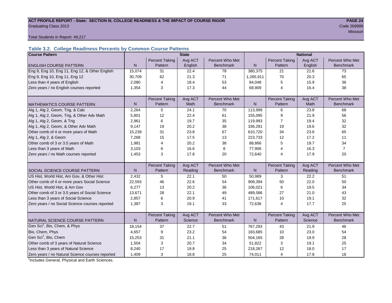#### ACT PROFILE REPORT - State: SECTION III, COLLEGE READINESS & THE IMPACT OF COURSE RIGOR **PAGE 24 Graduating Class 2013** Code 269999 Code 269999

Missouri and the control of the control of the control of the control of the control of the control of the control of the control of the control of the control of the control of the control of the control of the control of

Total Students in Report: 49,217

# **Table 3.2. College Readiness Percents by Common Course Patterns**

| <b>Course Pattern</b>                            |              |                       | <b>State</b> |                  | <b>National</b> |                       |         |                  |  |
|--------------------------------------------------|--------------|-----------------------|--------------|------------------|-----------------|-----------------------|---------|------------------|--|
|                                                  |              | <b>Percent Taking</b> | Avg ACT      | Percent Who Met  |                 | <b>Percent Taking</b> | Avg ACT | Percent Who Met  |  |
| <b>ENGLISH COURSE PATTERN</b>                    | $\mathsf{N}$ | Pattern               | English      | <b>Benchmark</b> | $\mathsf{N}$    | Pattern               | English | <b>Benchmark</b> |  |
| Eng 9, Eng 10, Eng 11, Eng 12, & Other English   | 15,074       | 31                    | 22.4         | 78               | 380,375         | 21                    | 21.6    | 73               |  |
| Eng 9, Eng 10, Eng 11, Eng 12                    | 30,709       | 62                    | 21.3         | 71               | 1,265,911       | 70                    | 20.3    | 65               |  |
| Less than 4 years of English                     | 2,080        | $\overline{4}$        | 18.4         | 53               | 84,048          | 5                     | 15.9    | 36               |  |
| Zero years / no English courses reported         | 1,354        | 3                     | 17.3         | 44               | 68,909          | $\overline{4}$        | 16.4    | 38               |  |
|                                                  |              |                       |              |                  |                 |                       |         |                  |  |
|                                                  |              | <b>Percent Taking</b> | Avg ACT      | Percent Who Met  |                 | <b>Percent Taking</b> | Avg ACT | Percent Who Met  |  |
| <b>MATHEMATICS COURSE PATTERN</b>                | N            | Pattern               | Math         | <b>Benchmark</b> | N               | Pattern               | Math    | <b>Benchmark</b> |  |
| Alg 1, Alg 2, Geom, Trig, & Calc                 | 2,264        | 5                     | 24.1         | 70               | 113,999         | 6                     | 23.8    | 68               |  |
| Alg 1, Alg 2, Geom, Trig, & Other Adv Math       | 5,801        | 12                    | 22.4         | 61               | 155,095         | 9                     | 21.9    | 56               |  |
| Alg 1, Alg 2, Geom, & Trig                       | 2,961        | 6                     | 19.7         | 35               | 119,993         | 7                     | 19.4    | 32               |  |
| Alg 1, Alg 2, Geom, & Other Adv Math             | 9,147        | 19                    | 20.2         | 38               | 336,291         | 19                    | 19.6    | 32               |  |
| Other comb of 4 or more years of Math            | 15,239       | 31                    | 23.8         | 67               | 610,720         | 34                    | 23.6    | 65               |  |
| Alg 1, Alg 2, & Geom                             | 7,268        | 15                    | 17.5         | 13               | 223,733         | 12                    | 17.2    | 11               |  |
| Other comb of 3 or 3.5 years of Math             | 1,981        | $\overline{4}$        | 20.2         | 38               | 88,866          | 5                     | 19.7    | 34               |  |
| Less than 3 years of Math                        | 3,103        | 6                     | 16.6         | 8                | 77,906          | 4                     | 16.3    | $\overline{7}$   |  |
| Zero years / no Math courses reported            | 1,453        | 3                     | 17.8         | 20               | 72,640          | 4                     | 17.9    | 20               |  |
|                                                  |              |                       |              |                  |                 |                       |         |                  |  |
|                                                  |              | <b>Percent Taking</b> | Avg ACT      | Percent Who Met  |                 | <b>Percent Taking</b> | Avg ACT | Percent Who Met  |  |
| <b>SOCIAL SCIENCE COURSE PATTERN</b>             | N            | Pattern               | Reading      | <b>Benchmark</b> | N               | Pattern               | Reading | <b>Benchmark</b> |  |
| US Hist, World Hist, Am Gov, & Other Hist        | 2,432        | 5                     | 22.1         | 50               | 50,989          | 3                     | 22.2    | 51               |  |
| Other comb of 4 or more years Social Science     | 22,593       | 46                    | 22.6         | 54               | 908,394         | 50                    | 22.0    | 50               |  |
| US Hist, World Hist, & Am Gov                    | 6,277        | 13                    | 20.2         | 36               | 106,021         | 6                     | 19.5    | 34               |  |
| Other comb of 3 or 3.5 years of Social Science   | 13,671       | 28                    | 22.1         | 49               | 489,586         | 27                    | 21.0    | 43               |  |
| Less than 3 years of Social Science              | 2,857        | 6                     | 20.9         | 41               | 171,617         | 10                    | 19.1    | 32               |  |
| Zero years / no Social Science courses reported  | 1,387        | 3                     | 19.1         | 33               | 72,636          | $\overline{4}$        | 17.7    | 25               |  |
|                                                  |              |                       |              |                  |                 |                       |         |                  |  |
|                                                  |              | <b>Percent Taking</b> | Avg ACT      | Percent Who Met  |                 | <b>Percent Taking</b> | Avg ACT | Percent Who Met  |  |
| NATURAL SCIENCE COURSE PATTERN                   | N            | Pattern               | Science      | <b>Benchmark</b> | N               | Pattern               | Science | <b>Benchmark</b> |  |
| Gen Sci <sup>1</sup> , Bio, Chem, & Phys         | 18,154       | 37                    | 22.7         | 51               | 767,293         | 43                    | 21.9    | 46               |  |
| Bio, Chem, Phys                                  | 4,657        | 9                     | 23.2         | 54               | 183,685         | 10                    | 23.0    | 54               |  |
| Gen Sci <sup>1</sup> , Bio, Chem                 | 15,253       | 31                    | 21.1         | 36               | 504,165         | 28                    | 19.9    | 28               |  |
| Other comb of 3 years of Natural Science         | 1,504        | 3                     | 20.7         | 34               | 51,822          | 3                     | 19.1    | 25               |  |
| Less than 3 years of Natural Science             | 8,240        | 17                    | 19.8         | 25               | 218,267         | 12                    | 18.0    | 17               |  |
| Zero years / no Natural Science courses reported | 1,409        | 3                     | 18.8         | 25               | 74,011          | 4                     | 17.8    | 18               |  |

<sup>1</sup>Includes General, Physical and Earth Sciences.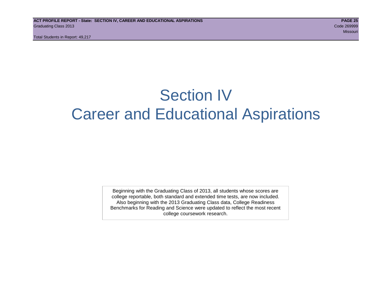# Section IV Career and Educational Aspirations

Beginning with the Graduating Class of 2013, all students whose scores are college reportable, both standard and extended time tests, are now included. Also beginning with the 2013 Graduating Class data, College Readiness Benchmarks for Reading and Science were updated to reflect the most recent college coursework research.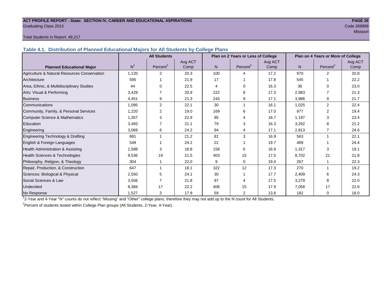#### **ACT PROFILE REPORT - State: SECTION IV, CAREER AND EDUCATIONAL ASPIRATIONS PAGE 26** Graduating Class 2013 Code 269999

# Missouri and the Missouri and the Missouri and the Missouri and the Missouri and Missouri and Missouri and Mis

#### Total Students in Report: 49,217

**Table 4.1. Distribution of Planned Educational Majors for All Students by College Plans**

|                                              |                | <b>All Students</b>  |         |     | Plan on 2 Years or Less of College |         | Plan on 4 Years or More of College |                      |         |  |
|----------------------------------------------|----------------|----------------------|---------|-----|------------------------------------|---------|------------------------------------|----------------------|---------|--|
|                                              |                |                      | Avg ACT |     |                                    | Avg ACT |                                    |                      | Avg ACT |  |
| <b>Planned Educational Major</b>             | N <sup>1</sup> | Percent <sup>2</sup> | Comp    | N.  | Percent <sup>2</sup>               | Comp    | N                                  | Percent <sup>2</sup> | Comp    |  |
| Agriculture & Natural Resources Conservation | 1,120          | 2                    | 20.3    | 100 | 4                                  | 17.2    | 970                                | $\overline{2}$       | 20.8    |  |
| Architecture                                 | 595            |                      | 21.9    | 17  |                                    | 17.8    | 545                                |                      | 22.2    |  |
| Area, Ethnic, & Multidisciplinary Studies    | 44             | $\Omega$             | 22.5    | 4   | 0                                  | 16.3    | 36                                 | $\Omega$             | 23.0    |  |
| Arts: Visual & Performing                    | 3,429          |                      | 20.9    | 222 | 8                                  | 17.3    | 2,983                              |                      | 21.3    |  |
| <b>Business</b>                              | 4,451          | 9                    | 21.3    | 243 | 9                                  | 17.1    | 3,986                              | 9                    | 21.7    |  |
| Communications                               | 1,095          | $\mathbf{2}$         | 22.1    | 30  | 1                                  | 16.1    | 1,025                              | $\overline{2}$       | 22.4    |  |
| Community, Family, & Personal Services       | 1,220          | 2                    | 19.0    | 169 | 6                                  | 17.0    | 977                                | $\overline{2}$       | 19.4    |  |
| Computer Science & Mathematics               | 1,357          | 3                    | 22.9    | 95  | 4                                  | 18.7    | 1,197                              | 3                    | 23.4    |  |
| <b>Education</b>                             | 3,493          |                      | 21.1    | 79  | 3                                  | 16.3    | 3,292                              | 8                    | 21.2    |  |
| Engineering                                  | 3,069          | 6                    | 24.2    | 94  | 4                                  | 17.1    | 2,813                              | 7                    | 24.6    |  |
| Engineering Technology & Drafting            | 681            |                      | 21.2    | 81  | 3                                  | 16.9    | 563                                |                      | 22.1    |  |
| English & Foreign Languages                  | 549            |                      | 24.2    | 22  |                                    | 19.7    | 489                                |                      | 24.4    |  |
| Health Administration & Assisting            | 1,588          | 3                    | 18.8    | 158 | 6                                  | 16.9    | 1,317                              | 3                    | 19.1    |  |
| Health Sciences & Technologies               | 9,536          | 19                   | 21.5    | 403 | 15                                 | 17.5    | 8,702                              | 21                   | 21.8    |  |
| Philosophy, Religion, & Theology             | 304            |                      | 22.0    | 9   | 0                                  | 19.4    | 267                                |                      | 22.3    |  |
| Repair, Production, & Construction           | 647            |                      | 18.1    | 322 | 12                                 | 17.3    | 270                                |                      | 19.2    |  |
| Sciences: Biological & Physical              | 2,550          | 5                    | 24.1    | 30  |                                    | 17.7    | 2,409                              | 6                    | 24.3    |  |
| Social Sciences & Law                        | 3,556          |                      | 21.8    | 97  | 4                                  | 17.5    | 3,279                              | 8                    | 22.0    |  |
| Undecided                                    | 8,384          | 17                   | 22.2    | 408 | 15                                 | 17.9    | 7,058                              | 17                   | 22.6    |  |
| No Response                                  | 1,527          | 3                    | 17.9    | 59  | 2                                  | 13.6    | 182                                | $\mathbf 0$          | 18.0    |  |

1 2-Year and 4-Year "N" counts do not reflect "Missing" and "Other" college plans, therefore they may not add up to the N count for All Students.

<sup>2</sup> Percent of students tested within College Plan groups (All Students, 2-Year, 4-Year).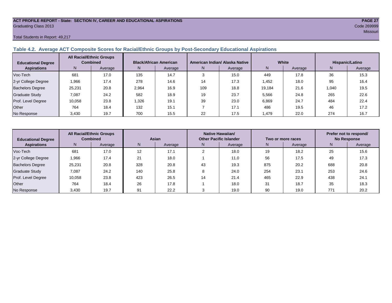#### **ACT PROFILE REPORT - State: SECTION IV, CAREER AND EDUCATIONAL ASPIRATIONS PAGE 27** Graduating Class 2013 Code 269999

#### Total Students in Report: 49,217

# **Table 4.2. Average ACT Composite Scores for Racial/Ethnic Groups by Post-Secondary Educational Aspirations**

| <b>Educational Degree</b> | <b>All Racial/Ethnic Groups</b><br><b>Combined</b> |         | <b>Black/African American</b> |         |     | American Indian/ Alaska Native |        | White   | Hispanic/Latino |         |  |
|---------------------------|----------------------------------------------------|---------|-------------------------------|---------|-----|--------------------------------|--------|---------|-----------------|---------|--|
| <b>Aspirations</b>        | N.                                                 | Average | N.                            | Average | N.  | Average                        | N.     | Average | N               | Average |  |
| Voc-Tech                  | 681                                                | 17.0    | 135                           | 14.7    |     | 15.0                           | 449    | 17.8    | 36              | 15.3    |  |
| 2-yr College Degree       | 1,966                                              | 17.4    | 278                           | 14.6    | 14  | 17.3                           | 1.452  | 18.0    | 95              | 16.4    |  |
| <b>Bachelors Degree</b>   | 25,231                                             | 20.8    | 2,964                         | 16.9    | 109 | 18.8                           | 19.184 | 21.6    | 1.040           | 19.5    |  |
| <b>Graduate Study</b>     | 7.087                                              | 24.2    | 582                           | 18.9    | 19  | 23.7                           | 5,566  | 24.8    | 265             | 22.6    |  |
| Prof. Level Degree        | 10.058                                             | 23.8    | .326                          | 19.1    | 39  | 23.0                           | 6.869  | 24.7    | 484             | 22.4    |  |
| Other                     | 764                                                | 18.4    | 132                           | 15.1    |     | 17.1                           | 486    | 19.5    | 46              | 17.2    |  |
| No Response               | 3,430                                              | 19.7    | 700                           | 15.5    | 22  | 17.5                           | 479. ا | 22.0    | 274             | 16.7    |  |

| <b>Educational Degree</b> |        | <b>All Racial/Ethnic Groups</b><br><b>Combined</b><br>Asian |     |         | Native Hawaiian/<br><b>Other Pacific Islander</b> |      | Two or more races | Prefer not to respond/<br><b>No Response</b> |     |         |
|---------------------------|--------|-------------------------------------------------------------|-----|---------|---------------------------------------------------|------|-------------------|----------------------------------------------|-----|---------|
| <b>Aspirations</b>        | N      | Average                                                     | N   | Average | Average<br>N.                                     |      | N                 | Average                                      | N   | Average |
| Voc-Tech                  | 681    | 17.0                                                        | 12  | 17.1    |                                                   | 18.0 | 19                | 18.2                                         | 25  | 15.6    |
| 2-yr College Degree       | 1,966  | 17.4                                                        | 21  | 18.0    |                                                   | 11.0 | 56                | 17.5                                         | 49  | 17.3    |
| <b>Bachelors Degree</b>   | 25,231 | 20.8                                                        | 328 | 20.8    | 43                                                | 19.3 | 875               | 20.2                                         | 688 | 20.8    |
| <b>Graduate Study</b>     | 7.087  | 24.2                                                        | 140 | 25.8    |                                                   | 24.0 | 254               | 23.1                                         | 253 | 24.6    |
| Prof. Level Degree        | 10,058 | 23.8                                                        | 423 | 26.5    | 14                                                | 21.4 | 465               | 22.9                                         | 438 | 24.1    |
| Other                     | 764    | 18.4                                                        | 26  | 17.8    |                                                   | 18.0 | 31                | 18.7                                         | 35  | 18.3    |
| No Response               | 3,430  | 19.7                                                        | 91  | 22.2    |                                                   | 19.0 | 90                | 19.0                                         | 771 | 20.2    |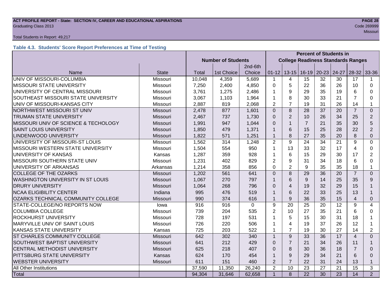#### **ACT PROFILE REPORT - State: SECTION IV, CAREER AND EDUCATIONAL ASPIRATIONS PAGE 28** Code 269999 Craduating Class 2013

#### Total Students in Report: 49,217

# **Table 4.3. Students' Score Report Preferences at Time of Testing**

|                                      |                 | <b>Percent of Students in</b> |                           |             |                |                |                                           |                         |       |                |                |  |  |
|--------------------------------------|-----------------|-------------------------------|---------------------------|-------------|----------------|----------------|-------------------------------------------|-------------------------|-------|----------------|----------------|--|--|
|                                      |                 |                               | <b>Number of Students</b> |             |                |                | <b>College Readiness Standards Ranges</b> |                         |       |                |                |  |  |
|                                      |                 |                               |                           | 2nd-6th     |                |                |                                           |                         |       |                |                |  |  |
| Name                                 | <b>State</b>    | Total                         | 1st Choice                | Choice      | $01 - 12$      |                |                                           | $13-15$   16-19   20-23 | 24-27 | $28-32$ 33-36  |                |  |  |
| UNIV OF MISSOURI-COLUMBIA            | Missouri        | 10,048                        | 4,359                     | 5,689       | $\mathbf 1$    | 4              | 15                                        | 32                      | 30    | 17             |                |  |  |
| <b>MISSOURI STATE UNIVERSITY</b>     | Missouri        | 7,250                         | 2,400                     | 4,850       | $\Omega$       | 5              | 22                                        | 36                      | 26    | 10             | $\Omega$       |  |  |
| UNIVERSITY OF CENTRAL MISSOURI       | Missouri        | 3,761                         | 1,275                     | 2,486       | 1              | 9              | 29                                        | 35                      | 19    | 6              | 0              |  |  |
| SOUTHEAST MISSOURI STATE UNIVERSITY  | Missouri        | 3,067                         | 1,103                     | 1,964       | 1              | 8              | 30                                        | 33                      | 21    | $\overline{7}$ | 0              |  |  |
| UNIV OF MISSOURI-KANSAS CITY         | Missouri        | 2,887                         | 819                       | 2,068       | $\overline{2}$ | $\overline{7}$ | 19                                        | 31                      | 26    | 14             | 1              |  |  |
| NORTHWEST MISSOURI ST UNIV           | Missouri        | 2,478                         | 877                       | 1,601       | $\Omega$       | 8              | 28                                        | 37                      | 20    | $\overline{7}$ | $\Omega$       |  |  |
| <b>TRUMAN STATE UNIVERSITY</b>       | Missouri        | 2,467                         | 737                       | 1,730       | $\Omega$       | $\overline{2}$ | 10                                        | 26                      | 34    | 25             | $\overline{2}$ |  |  |
| MISSOURI UNIV OF SCIENCE & TECHOLOGY | Missouri        | 1,991                         | 947                       | 1,044       | $\Omega$       | $\mathbf{1}$   | $\overline{7}$                            | 21                      | 35    | 30             | 5              |  |  |
| <b>SAINT LOUIS UNIVERSITY</b>        | Missouri        | 1,850                         | 479                       | 1,371       | 1              | 6              | 15                                        | 25                      | 28    | 22             | $\overline{2}$ |  |  |
| <b>LINDENWOOD UNIVERSITY</b>         | Missouri        | 1,822                         | 571                       | 1,251       | $\mathbf{1}$   | 8              | 27                                        | 35                      | 20    | 8              | 0              |  |  |
| UNIVERSITY OF MISSOURI-ST LOUIS      | Missouri        | 1,562                         | 314                       | 1,248       | $\overline{2}$ | 9              | 24                                        | 34                      | 21    | 9              | $\Omega$       |  |  |
| MISSOURI WESTERN STATE UNIVERSITY    | Missouri        | 1,504                         | 554                       | 950         | 1              | 13             | 33                                        | 32                      | 17    | 4              | 0              |  |  |
| UNIVERSITY OF KANSAS                 | Kansas          | 1,287                         | 359                       | 928         | 1              | 6              | 15                                        | 29                      | 30    | 17             | $\overline{2}$ |  |  |
| MISSOURI SOUTHERN STATE UNIV         | Missouri        | 1,231                         | 402                       | 829         | $\overline{2}$ | 9              | 31                                        | 34                      | 18    | 6              | $\Omega$       |  |  |
| UNIVERSITY OF ARKANSAS               | Arkansas        | 1,214                         | 358                       | 856         | $\Omega$       | $\overline{2}$ | 9                                         | 35                      | 35    | 18             | 1              |  |  |
| <b>COLLEGE OF THE OZARKS</b>         | Missouri        | 1,202                         | 561                       | 641         | $\overline{0}$ | 8              | 29                                        | 36                      | 20    | $\overline{7}$ | $\overline{0}$ |  |  |
| WASHINGTON UNIVERSITY IN ST LOUIS    | <b>Missouri</b> | 1,067                         | 270                       | 797         | $\mathbf 1$    | 6              | 9                                         | 14                      | 25    | 35             | 9              |  |  |
| <b>DRURY UNIVERSITY</b>              | Missouri        | 1,064                         | 268                       | 796         | $\Omega$       | $\overline{4}$ | 19                                        | 32                      | 29    | 15             | 1              |  |  |
| <b>NCAA ELIGIBILITY CENTER</b>       | Indiana         | 995                           | 476                       | 519         | $\mathbf{1}$   | 6              | 22                                        | 33                      | 25    | 13             | $\mathbf 1$    |  |  |
| OZARKS TECHNICAL COMMUNITY COLLEGE   | <b>Missouri</b> | 990                           | 374                       | 616         | $\mathbf{1}$   | 9              | 36                                        | 35                      | 15    | 4              | $\Omega$       |  |  |
| STATE-COLLEGE/NO REPORTS NOW         | lowa            | 916                           | 916                       | $\mathbf 0$ | 9              | 20             | 25                                        | 20                      | 12    | 9              | 4              |  |  |
| <b>COLUMBIA COLLEGE</b>              | Missouri        | 739                           | 204                       | 535         | $\overline{2}$ | 10             | 27                                        | 35                      | 21    | 6              | 0              |  |  |
| ROCKHURST UNIVERSITY                 | Missouri        | 728                           | 197                       | 531         | 1              | 5              | 15                                        | 30                      | 31    | 18             | 1              |  |  |
| MARYVILLE UNIV OF SAINT LOUIS        | Missouri        | 726                           | 220                       | 506         | 1              | $\overline{4}$ | 19                                        | 37                      | 26    | 12             | 1              |  |  |
| KANSAS STATE UNIVERSITY              | Kansas          | 725                           | 203                       | 522         | 1              | $\overline{7}$ | 19                                        | 30                      | 27    | 14             | $\overline{2}$ |  |  |
| ST CHARLES COMMUNITY COLLEGE         | <b>Missouri</b> | 642                           | 302                       | 340         | $\mathbf{1}$   | 9              | 33                                        | 36                      | 17    | $\overline{4}$ | $\Omega$       |  |  |
| SOUTHWEST BAPTIST UNIVERSITY         | Missouri        | 641                           | 212                       | 429         | $\Omega$       | $\overline{7}$ | 21                                        | 34                      | 26    | 11             | 1              |  |  |
| CENTRAL METHODIST UNIVERSITY         | Missouri        | 625                           | 218                       | 407         | $\Omega$       | 8              | 30                                        | 36                      | 18    | $\overline{7}$ | $\Omega$       |  |  |
| PITTSBURG STATE UNIVERSITY           | Kansas          | 624                           | 170                       | 454         | 1              | 9              | 29                                        | 34                      | 21    | 6              | $\Omega$       |  |  |
| <b>WEBSTER UNIVERSITY</b>            | <b>Missouri</b> | 611                           | 151                       | 460         | $\overline{2}$ | $\overline{7}$ | 22                                        | 31                      | 24    | 13             | $\mathbf{1}$   |  |  |
| All Other Institutions               |                 | 37,590                        | 11,350                    | 26,240      | $\overline{2}$ | 10             | 23                                        | 27                      | 21    | 15             | 3              |  |  |
| Total                                |                 | 94,304                        | 31,646                    | 62,658      | $\mathbf{1}$   | 8              | $\overline{22}$                           | 30                      | 23    | 14             | 2              |  |  |

Missouri and the Missouri and the Missouri and the Missouri and the Missouri and the Missouri and the Missouri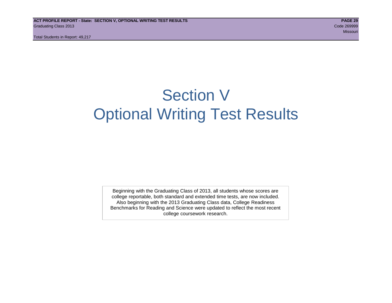# Section V Optional Writing Test Results

Beginning with the Graduating Class of 2013, all students whose scores are college reportable, both standard and extended time tests, are now included. Also beginning with the 2013 Graduating Class data, College Readiness Benchmarks for Reading and Science were updated to reflect the most recent college coursework research.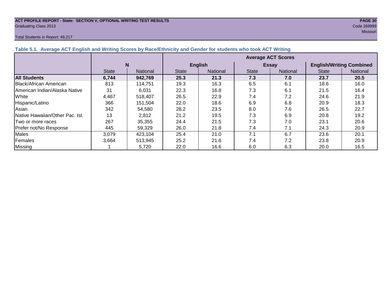#### **ACT PROFILE REPORT - State: SECTION V, OPTIONAL WRITING TEST RESULTS PAGE 30** Graduating Class 2013 Code 269999

#### Total Students in Report: 49,217

missouri and the control of the control of the control of the control of the control of the control of the control of the control of the control of the control of the control of the control of the control of the control of

| Table 5.1. Average ACT English and Writing Scores by Race/Ethnicity and Gender for students who took ACT Writing |              |          |                           |                 |              |                 |                                 |          |  |  |  |  |
|------------------------------------------------------------------------------------------------------------------|--------------|----------|---------------------------|-----------------|--------------|-----------------|---------------------------------|----------|--|--|--|--|
|                                                                                                                  |              |          | <b>Average ACT Scores</b> |                 |              |                 |                                 |          |  |  |  |  |
|                                                                                                                  |              | N        |                           | <b>English</b>  |              | <b>Essay</b>    | <b>English/Writing Combined</b> |          |  |  |  |  |
|                                                                                                                  | <b>State</b> | National |                           | <b>National</b> | <b>State</b> | <b>National</b> | <b>State</b>                    | National |  |  |  |  |
| <b>All Students</b>                                                                                              | 6,744        | 942,769  | 25.3                      | 21.3            | 7.3          | 7.0             | 23.7                            | 20.5     |  |  |  |  |
| <b>IBlack/African American</b>                                                                                   | 813          | 114.751  | 19.3                      | 16.3            | 6.5          | 6.1             | 18.6                            | 16.0     |  |  |  |  |
| IAmerican Indian/Alaska Native                                                                                   | 31           | 6,031    | 22.3                      | 16.8            | 7.3          | 6.1             | 21.5                            | 16.4     |  |  |  |  |
| White                                                                                                            | 4,467        | 518.407  | 26.5                      | 22.9            | 7.4          | 7.2             | 24.6                            | 21.9     |  |  |  |  |
| Hispanic/Latino                                                                                                  | 366          | 151.504  | 22.0                      | 18.6            | 6.9          | 6.8             | 20.9                            | 18.3     |  |  |  |  |
| Asian                                                                                                            | 342          | 54,580   | 28.2                      | 23.5            | 8.0          | 7.6             | 26.5                            | 22.7     |  |  |  |  |
| <b>Native Hawaiian/Other Pac. Isl.</b>                                                                           | 13           | 2,812    | 21.2                      | 19.5            | 7.3          | 6.9             | 20.8                            | 19.2     |  |  |  |  |
| ITwo or more races                                                                                               | 267          | 35,355   | 24.4                      | 21.5            | 7.3          | 7.0             | 23.1                            | 20.6     |  |  |  |  |
| Prefer not/No Response                                                                                           | 445          | 59,329   | 26.0                      | 21.8            | 7.4          | 7.1             | 24.3                            | 20.9     |  |  |  |  |
| <b>Males</b>                                                                                                     | 3.079        | 423,104  | 25.4                      | 21.0            | 7.1          | 6.7             | 23.6                            | 20.1     |  |  |  |  |
| Females                                                                                                          | 3.664        | 513,945  | 25.2                      | 21.6            | 7.4          | 7.2             | 23.8                            | 20.9     |  |  |  |  |
| Missing                                                                                                          |              | 5,720    | 22.0                      | 16.6            | 6.0          | 6.3             | 20.0                            | 16.5     |  |  |  |  |